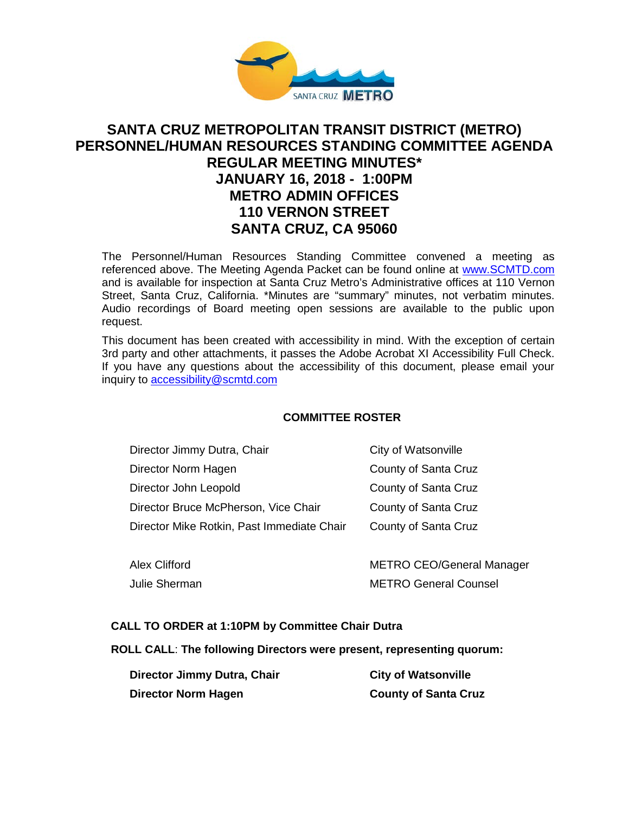

# **SANTA CRUZ METROPOLITAN TRANSIT DISTRICT (METRO) PERSONNEL/HUMAN RESOURCES STANDING COMMITTEE AGENDA REGULAR MEETING MINUTES\* JANUARY 16, 2018 - 1:00PM METRO ADMIN OFFICES 110 VERNON STREET SANTA CRUZ, CA 95060**

The Personnel/Human Resources Standing Committee convened a meeting as referenced above. The Meeting Agenda Packet can be found online at [www.SCMTD.com](http://www.scmtd.com/) and is available for inspection at Santa Cruz Metro's Administrative offices at 110 Vernon Street, Santa Cruz, California. \*Minutes are "summary" minutes, not verbatim minutes. Audio recordings of Board meeting open sessions are available to the public upon request.

This document has been created with accessibility in mind. With the exception of certain 3rd party and other attachments, it passes the Adobe Acrobat XI Accessibility Full Check. If you have any questions about the accessibility of this document, please email your inquiry to [accessibility@scmtd.com](mailto:accessibility@scmtd.com)

# **COMMITTEE ROSTER**

| Director Jimmy Dutra, Chair                | City of Watsonville  |
|--------------------------------------------|----------------------|
| Director Norm Hagen                        | County of Santa Cruz |
| Director John Leopold                      | County of Santa Cruz |
| Director Bruce McPherson, Vice Chair       | County of Santa Cruz |
| Director Mike Rotkin, Past Immediate Chair | County of Santa Cruz |
|                                            |                      |

| <b>Alex Clifford</b> | <b>METRO CEO/General Manager</b> |
|----------------------|----------------------------------|
| Julie Sherman        | <b>METRO General Counsel</b>     |

### **CALL TO ORDER at 1:10PM by Committee Chair Dutra**

### **ROLL CALL**: **The following Directors were present, representing quorum:**

| Director Jimmy Dutra, Chair | <b>City of Watsonville</b>  |
|-----------------------------|-----------------------------|
| Director Norm Hagen         | <b>County of Santa Cruz</b> |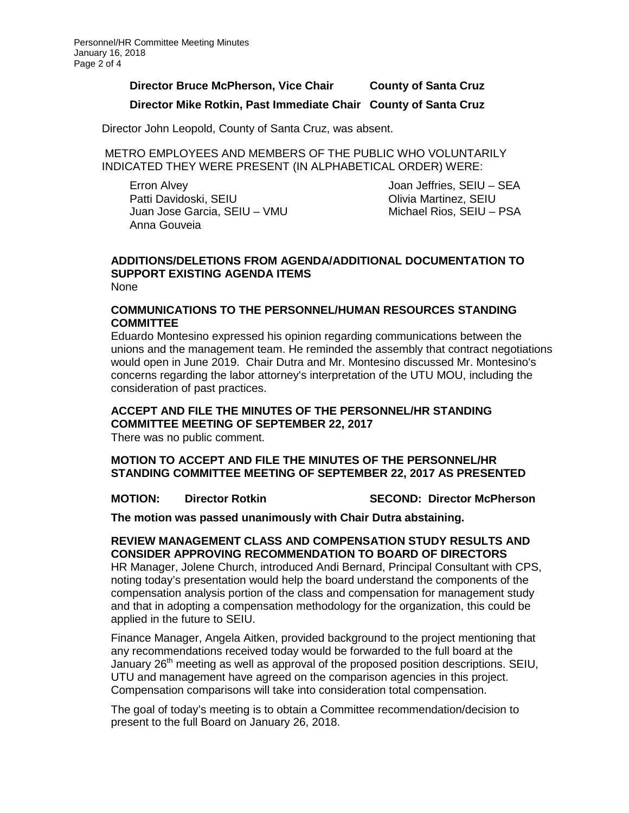# **Director Bruce McPherson, Vice Chair County of Santa Cruz**

# **Director Mike Rotkin, Past Immediate Chair County of Santa Cruz**

Director John Leopold, County of Santa Cruz, was absent.

METRO EMPLOYEES AND MEMBERS OF THE PUBLIC WHO VOLUNTARILY INDICATED THEY WERE PRESENT (IN ALPHABETICAL ORDER) WERE:

Erron Alvey Patti Davidoski, SEIU Juan Jose Garcia, SEIU – VMU Anna Gouveia

Joan Jeffries, SEIU – SEA Olivia Martinez, SEIU Michael Rios, SEIU – PSA

#### **ADDITIONS/DELETIONS FROM AGENDA/ADDITIONAL DOCUMENTATION TO SUPPORT EXISTING AGENDA ITEMS** None

## **COMMUNICATIONS TO THE PERSONNEL/HUMAN RESOURCES STANDING COMMITTEE**

Eduardo Montesino expressed his opinion regarding communications between the unions and the management team. He reminded the assembly that contract negotiations would open in June 2019. Chair Dutra and Mr. Montesino discussed Mr. Montesino's concerns regarding the labor attorney's interpretation of the UTU MOU, including the consideration of past practices.

# **ACCEPT AND FILE THE MINUTES OF THE PERSONNEL/HR STANDING COMMITTEE MEETING OF SEPTEMBER 22, 2017**

There was no public comment.

**MOTION TO ACCEPT AND FILE THE MINUTES OF THE PERSONNEL/HR STANDING COMMITTEE MEETING OF SEPTEMBER 22, 2017 AS PRESENTED**

**MOTION: Director Rotkin SECOND: Director McPherson**

**The motion was passed unanimously with Chair Dutra abstaining.** 

### **REVIEW MANAGEMENT CLASS AND COMPENSATION STUDY RESULTS AND CONSIDER APPROVING RECOMMENDATION TO BOARD OF DIRECTORS**

HR Manager, Jolene Church, introduced Andi Bernard, Principal Consultant with CPS, noting today's presentation would help the board understand the components of the compensation analysis portion of the class and compensation for management study and that in adopting a compensation methodology for the organization, this could be applied in the future to SEIU.

Finance Manager, Angela Aitken, provided background to the project mentioning that any recommendations received today would be forwarded to the full board at the January 26<sup>th</sup> meeting as well as approval of the proposed position descriptions. SEIU, UTU and management have agreed on the comparison agencies in this project. Compensation comparisons will take into consideration total compensation.

The goal of today's meeting is to obtain a Committee recommendation/decision to present to the full Board on January 26, 2018.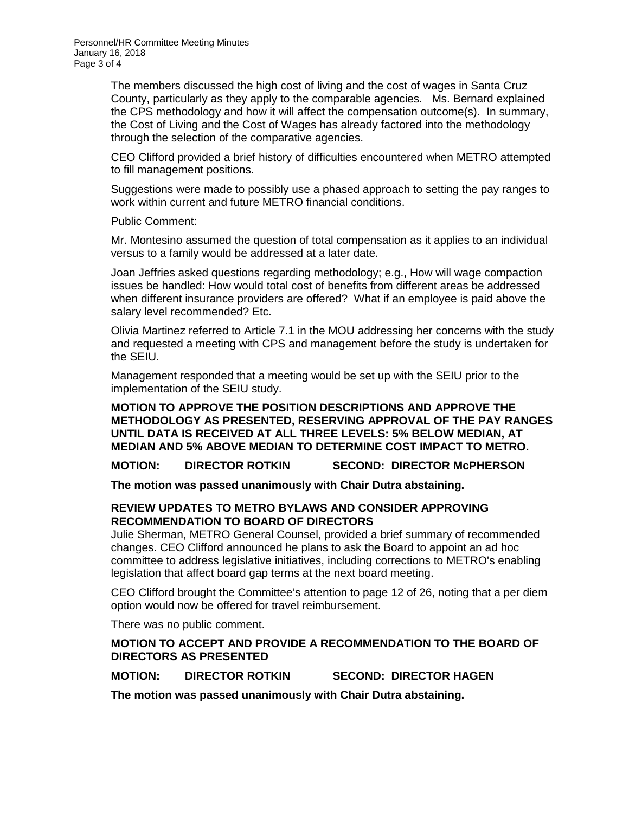Personnel/HR Committee Meeting Minutes January 16, 2018 Page 3 of 4

> The members discussed the high cost of living and the cost of wages in Santa Cruz County, particularly as they apply to the comparable agencies. Ms. Bernard explained the CPS methodology and how it will affect the compensation outcome(s). In summary, the Cost of Living and the Cost of Wages has already factored into the methodology through the selection of the comparative agencies.

> CEO Clifford provided a brief history of difficulties encountered when METRO attempted to fill management positions.

> Suggestions were made to possibly use a phased approach to setting the pay ranges to work within current and future METRO financial conditions.

Public Comment:

Mr. Montesino assumed the question of total compensation as it applies to an individual versus to a family would be addressed at a later date.

Joan Jeffries asked questions regarding methodology; e.g., How will wage compaction issues be handled: How would total cost of benefits from different areas be addressed when different insurance providers are offered? What if an employee is paid above the salary level recommended? Etc.

Olivia Martinez referred to Article 7.1 in the MOU addressing her concerns with the study and requested a meeting with CPS and management before the study is undertaken for the SEIU.

Management responded that a meeting would be set up with the SEIU prior to the implementation of the SEIU study.

**MOTION TO APPROVE THE POSITION DESCRIPTIONS AND APPROVE THE METHODOLOGY AS PRESENTED, RESERVING APPROVAL OF THE PAY RANGES UNTIL DATA IS RECEIVED AT ALL THREE LEVELS: 5% BELOW MEDIAN, AT MEDIAN AND 5% ABOVE MEDIAN TO DETERMINE COST IMPACT TO METRO.** 

**MOTION: DIRECTOR ROTKIN SECOND: DIRECTOR McPHERSON**

**The motion was passed unanimously with Chair Dutra abstaining.** 

## **REVIEW UPDATES TO METRO BYLAWS AND CONSIDER APPROVING RECOMMENDATION TO BOARD OF DIRECTORS**

Julie Sherman, METRO General Counsel, provided a brief summary of recommended changes. CEO Clifford announced he plans to ask the Board to appoint an ad hoc committee to address legislative initiatives, including corrections to METRO's enabling legislation that affect board gap terms at the next board meeting.

CEO Clifford brought the Committee's attention to page 12 of 26, noting that a per diem option would now be offered for travel reimbursement.

There was no public comment.

**MOTION TO ACCEPT AND PROVIDE A RECOMMENDATION TO THE BOARD OF DIRECTORS AS PRESENTED**

**MOTION: DIRECTOR ROTKIN SECOND: DIRECTOR HAGEN**

**The motion was passed unanimously with Chair Dutra abstaining.**